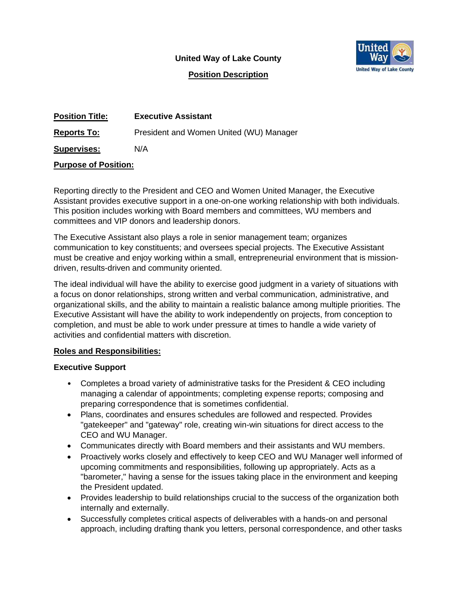**United Way of Lake County**



**Position Description**

| <b>Position Title:</b> | <b>Executive Assistant</b>              |
|------------------------|-----------------------------------------|
| <b>Reports To:</b>     | President and Women United (WU) Manager |
| <b>Supervises:</b>     | N/A                                     |

#### **Purpose of Position:**

Reporting directly to the President and CEO and Women United Manager, the Executive Assistant provides executive support in a one-on-one working relationship with both individuals. This position includes working with Board members and committees, WU members and committees and VIP donors and leadership donors.

The Executive Assistant also plays a role in senior management team; organizes communication to key constituents; and oversees special projects. The Executive Assistant must be creative and enjoy working within a small, entrepreneurial environment that is missiondriven, results-driven and community oriented.

The ideal individual will have the ability to exercise good judgment in a variety of situations with a focus on donor relationships, strong written and verbal communication, administrative, and organizational skills, and the ability to maintain a realistic balance among multiple priorities. The Executive Assistant will have the ability to work independently on projects, from conception to completion, and must be able to work under pressure at times to handle a wide variety of activities and confidential matters with discretion.

### **Roles and Responsibilities:**

### **Executive Support**

- Completes a broad variety of administrative tasks for the President & CEO including managing a calendar of appointments; completing expense reports; composing and preparing correspondence that is sometimes confidential.
- Plans, coordinates and ensures schedules are followed and respected. Provides "gatekeeper" and "gateway" role, creating win-win situations for direct access to the CEO and WU Manager.
- Communicates directly with Board members and their assistants and WU members.
- Proactively works closely and effectively to keep CEO and WU Manager well informed of upcoming commitments and responsibilities, following up appropriately. Acts as a "barometer," having a sense for the issues taking place in the environment and keeping the President updated.
- Provides leadership to build relationships crucial to the success of the organization both internally and externally.
- Successfully completes critical aspects of deliverables with a hands-on and personal approach, including drafting thank you letters, personal correspondence, and other tasks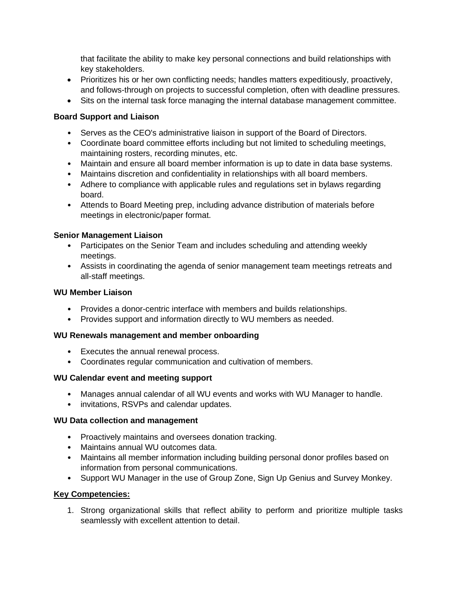that facilitate the ability to make key personal connections and build relationships with key stakeholders.

- Prioritizes his or her own conflicting needs; handles matters expeditiously, proactively, and follows-through on projects to successful completion, often with deadline pressures.
- Sits on the internal task force managing the internal database management committee.

## **Board Support and Liaison**

- Serves as the CEO's administrative liaison in support of the Board of Directors.
- Coordinate board committee efforts including but not limited to scheduling meetings, maintaining rosters, recording minutes, etc.
- Maintain and ensure all board member information is up to date in data base systems.
- Maintains discretion and confidentiality in relationships with all board members.
- Adhere to compliance with applicable rules and regulations set in bylaws regarding board.
- Attends to Board Meeting prep, including advance distribution of materials before meetings in electronic/paper format.

### **Senior Management Liaison**

- Participates on the Senior Team and includes scheduling and attending weekly meetings.
- Assists in coordinating the agenda of senior management team meetings retreats and all-staff meetings.

#### **WU Member Liaison**

- Provides a donor-centric interface with members and builds relationships.
- Provides support and information directly to WU members as needed.

### **WU Renewals management and member onboarding**

- Executes the annual renewal process.
- Coordinates regular communication and cultivation of members.

### **WU Calendar event and meeting support**

- Manages annual calendar of all WU events and works with WU Manager to handle.
- invitations, RSVPs and calendar updates.

### **WU Data collection and management**

- Proactively maintains and oversees donation tracking.
- Maintains annual WU outcomes data.
- Maintains all member information including building personal donor profiles based on information from personal communications.
- Support WU Manager in the use of Group Zone, Sign Up Genius and Survey Monkey.

### **Key Competencies:**

1. Strong organizational skills that reflect ability to perform and prioritize multiple tasks seamlessly with excellent attention to detail.